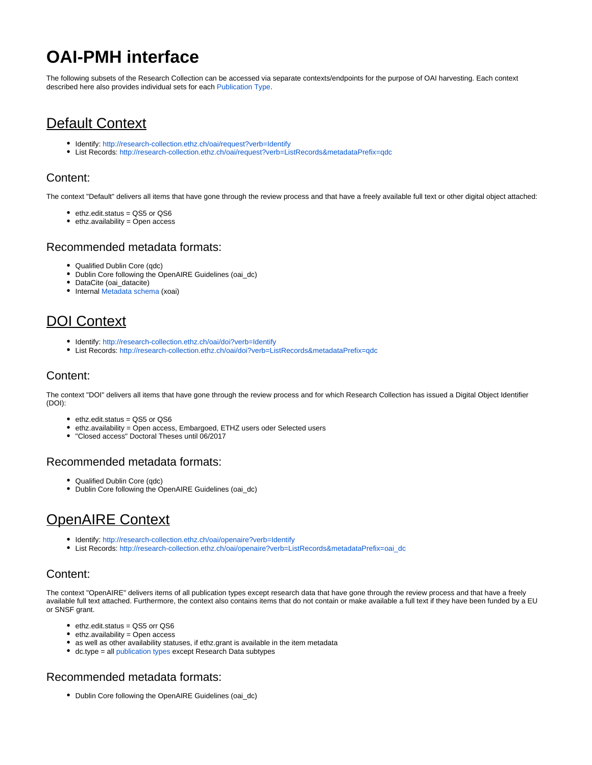# **OAI-PMH interface**

The following subsets of the Research Collection can be accessed via separate contexts/endpoints for the purpose of OAI harvesting. Each context described here also provides individual sets for each [Publication Type.](https://documentation.library.ethz.ch/display/RC/Publication+types)

# Default Context

- Identify:<http://research-collection.ethz.ch/oai/request?verb=Identify>
- List Records: <http://research-collection.ethz.ch/oai/request?verb=ListRecords&metadataPrefix=qdc>

### Content:

The context "Default" delivers all items that have gone through the review process and that have a freely available full text or other digital object attached:

- ethz.edit.status = QS5 or QS6
- ethz.availability = Open access

### Recommended metadata formats:

- Qualified Dublin Core (qdc)
- Dublin Core following the OpenAIRE Guidelines (oai\_dc)
- DataCite (oai\_datacite)
- Internal [Metadata schema](https://documentation.library.ethz.ch/display/RC/Metadata+schema) (xoai)

## DOI Context

- Identify:<http://research-collection.ethz.ch/oai/doi?verb=Identify>
- List Records: <http://research-collection.ethz.ch/oai/doi?verb=ListRecords&metadataPrefix=qdc>

### Content:

The context "DOI" delivers all items that have gone through the review process and for which Research Collection has issued a Digital Object Identifier (DOI):

- ethz.edit.status = QS5 or QS6
- ethz.availability = Open access, Embargoed, ETHZ users oder Selected users
- "Closed access" Doctoral Theses until 06/2017

#### Recommended metadata formats:

- Qualified Dublin Core (qdc)
- Dublin Core following the OpenAIRE Guidelines (oai\_dc)

### OpenAIRE Context

- Identify:<http://research-collection.ethz.ch/oai/openaire?verb=Identify>
- List Records: [http://research-collection.ethz.ch/oai/openaire?verb=ListRecords&metadataPrefix=oai\\_dc](http://research-collection.ethz.ch/oai/openaire?verb=ListRecords&metadataPrefix=oai_dc)

### Content:

The context "OpenAIRE" delivers items of all publication types except research data that have gone through the review process and that have a freely available full text attached. Furthermore, the context also contains items that do not contain or make available a full text if they have been funded by a EU or SNSF grant.

- ethz.edit.status = QS5 orr QS6
- $\bullet$  ethz.availability = Open access
- as well as other availability statuses, if ethz.grant is available in the item metadata
- dc.type = all [publication types](https://documentation.library.ethz.ch/display/RC/Publication+types) except Research Data subtypes

### Recommended metadata formats:

• Dublin Core following the OpenAIRE Guidelines (oai\_dc)